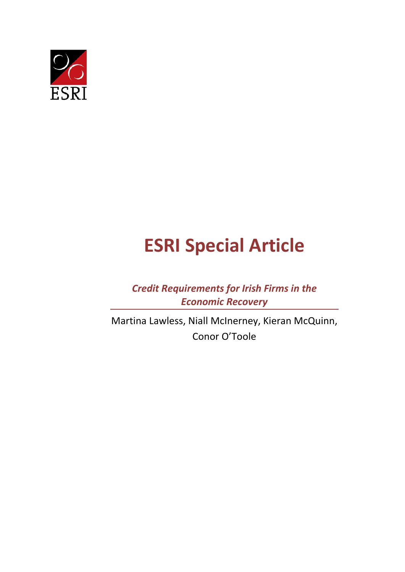

# **ESRI Special Article**

*Credit Requirements for Irish Firms in the Economic Recovery*

Martina Lawless, Niall McInerney, Kieran McQuinn, Conor O'Toole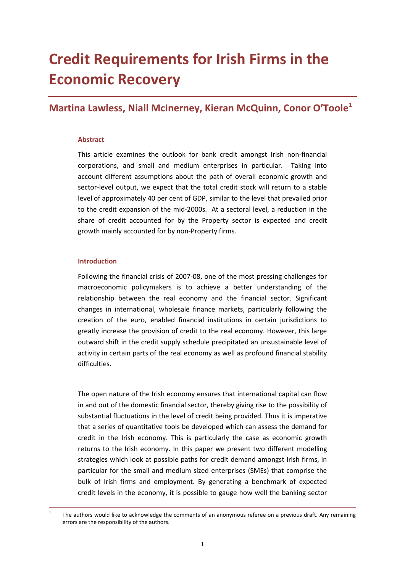## **Credit Requirements for Irish Firms in the Economic Recovery**

### **Martina Lawless, Niall McInerney, Kieran McQuinn, Conor O'Toole[1](#page-2-0)**

#### **Abstract**

This article examines the outlook for bank credit amongst Irish non-financial corporations, and small and medium enterprises in particular. Taking into account different assumptions about the path of overall economic growth and sector-level output, we expect that the total credit stock will return to a stable level of approximately 40 per cent of GDP, similar to the level that prevailed prior to the credit expansion of the mid-2000s. At a sectoral level, a reduction in the share of credit accounted for by the Property sector is expected and credit growth mainly accounted for by non-Property firms.

#### **Introduction**

Following the financial crisis of 2007-08, one of the most pressing challenges for macroeconomic policymakers is to achieve a better understanding of the relationship between the real economy and the financial sector. Significant changes in international, wholesale finance markets, particularly following the creation of the euro, enabled financial institutions in certain jurisdictions to greatly increase the provision of credit to the real economy. However, this large outward shift in the credit supply schedule precipitated an unsustainable level of activity in certain parts of the real economy as well as profound financial stability difficulties.

The open nature of the Irish economy ensures that international capital can flow in and out of the domestic financial sector, thereby giving rise to the possibility of substantial fluctuations in the level of credit being provided. Thus it is imperative that a series of quantitative tools be developed which can assess the demand for credit in the Irish economy. This is particularly the case as economic growth returns to the Irish economy. In this paper we present two different modelling strategies which look at possible paths for credit demand amongst Irish firms, in particular for the small and medium sized enterprises (SMEs) that comprise the bulk of Irish firms and employment. By generating a benchmark of expected credit levels in the economy, it is possible to gauge how well the banking sector

<span id="page-2-0"></span><sup>&</sup>lt;sup>1</sup> The authors would like to acknowledge the comments of an anonymous referee on a previous draft. Any remaining errors are the responsibility of the authors.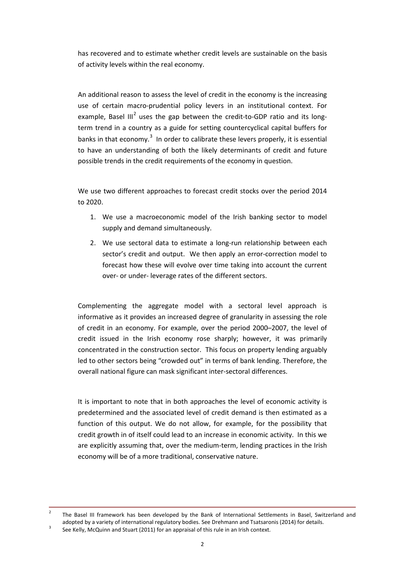has recovered and to estimate whether credit levels are sustainable on the basis of activity levels within the real economy.

An additional reason to assess the level of credit in the economy is the increasing use of certain macro-prudential policy levers in an institutional context. For example, Basel III<sup>[2](#page-3-0)</sup> uses the gap between the credit-to-GDP ratio and its longterm trend in a country as a guide for setting countercyclical capital buffers for banks in that economy.<sup>[3](#page-3-1)</sup> In order to calibrate these levers properly, it is essential to have an understanding of both the likely determinants of credit and future possible trends in the credit requirements of the economy in question.

We use two different approaches to forecast credit stocks over the period 2014 to 2020.

- 1. We use a macroeconomic model of the Irish banking sector to model supply and demand simultaneously.
- 2. We use sectoral data to estimate a long-run relationship between each sector's credit and output. We then apply an error-correction model to forecast how these will evolve over time taking into account the current over- or under- leverage rates of the different sectors.

Complementing the aggregate model with a sectoral level approach is informative as it provides an increased degree of granularity in assessing the role of credit in an economy. For example, over the period 2000–2007, the level of credit issued in the Irish economy rose sharply; however, it was primarily concentrated in the construction sector. This focus on property lending arguably led to other sectors being "crowded out" in terms of bank lending. Therefore, the overall national figure can mask significant inter-sectoral differences.

It is important to note that in both approaches the level of economic activity is predetermined and the associated level of credit demand is then estimated as a function of this output. We do not allow, for example, for the possibility that credit growth in of itself could lead to an increase in economic activity. In this we are explicitly assuming that, over the medium-term, lending practices in the Irish economy will be of a more traditional, conservative nature.

<span id="page-3-0"></span><sup>&</sup>lt;sup>2</sup> The Basel III framework has been developed by the Bank of International Settlements in Basel, Switzerland and adopted by a variety of international regulatory bodies. See Drehmann and Tsatsaronis (2014) for details.<br><sup>3</sup> See Kelly, McQuinn and Stuart (2011) for an appraisal of this rule in an Irish context.

<span id="page-3-1"></span>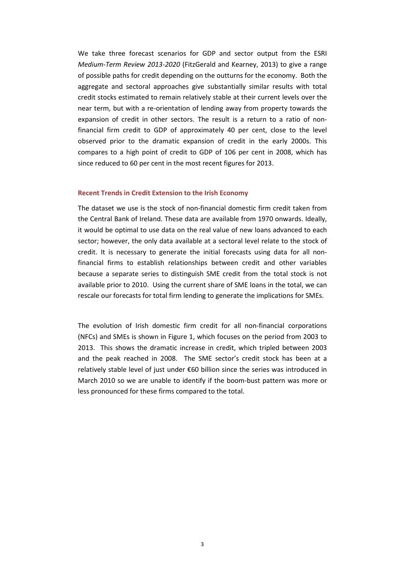We take three forecast scenarios for GDP and sector output from the ESRI *Medium-Term Review 2013-2020* (FitzGerald and Kearney, 2013) to give a range of possible paths for credit depending on the outturns for the economy. Both the aggregate and sectoral approaches give substantially similar results with total credit stocks estimated to remain relatively stable at their current levels over the near term, but with a re-orientation of lending away from property towards the expansion of credit in other sectors. The result is a return to a ratio of nonfinancial firm credit to GDP of approximately 40 per cent, close to the level observed prior to the dramatic expansion of credit in the early 2000s. This compares to a high point of credit to GDP of 106 per cent in 2008, which has since reduced to 60 per cent in the most recent figures for 2013.

#### **Recent Trends in Credit Extension to the Irish Economy**

The dataset we use is the stock of non-financial domestic firm credit taken from the Central Bank of Ireland. These data are available from 1970 onwards. Ideally, it would be optimal to use data on the real value of new loans advanced to each sector; however, the only data available at a sectoral level relate to the stock of credit. It is necessary to generate the initial forecasts using data for all nonfinancial firms to establish relationships between credit and other variables because a separate series to distinguish SME credit from the total stock is not available prior to 2010. Using the current share of SME loans in the total, we can rescale our forecasts for total firm lending to generate the implications for SMEs.

The evolution of Irish domestic firm credit for all non-financial corporations (NFCs) and SMEs is shown in Figure 1, which focuses on the period from 2003 to 2013. This shows the dramatic increase in credit, which tripled between 2003 and the peak reached in 2008. The SME sector's credit stock has been at a relatively stable level of just under €60 billion since the series was introduced in March 2010 so we are unable to identify if the boom-bust pattern was more or less pronounced for these firms compared to the total.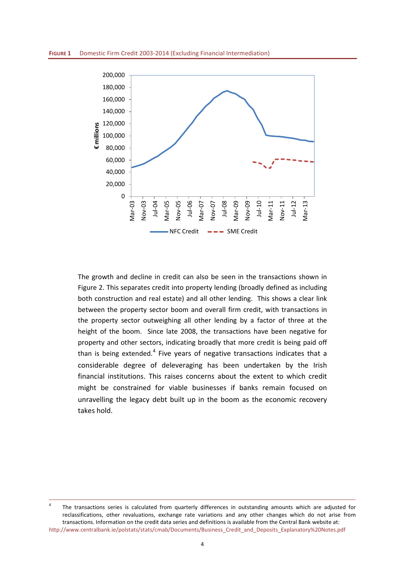

The growth and decline in credit can also be seen in the transactions shown in Figure 2. This separates credit into property lending (broadly defined as including both construction and real estate) and all other lending. This shows a clear link between the property sector boom and overall firm credit, with transactions in the property sector outweighing all other lending by a factor of three at the height of the boom. Since late 2008, the transactions have been negative for property and other sectors, indicating broadly that more credit is being paid off than is being extended.<sup>[4](#page-5-0)</sup> Five years of negative transactions indicates that a considerable degree of deleveraging has been undertaken by the Irish financial institutions. This raises concerns about the extent to which credit might be constrained for viable businesses if banks remain focused on unravelling the legacy debt built up in the boom as the economic recovery takes hold.

<span id="page-5-0"></span><sup>&</sup>lt;sup>4</sup> The transactions series is calculated from quarterly differences in outstanding amounts which are adjusted for reclassifications, other revaluations, exchange rate variations and any other changes which do not arise from transactions. Information on the credit data series and definitions is available from the Central Bank website at: [http://www.centralbank.ie/polstats/stats/cmab/Documents/Business\\_Credit\\_and\\_Deposits\\_Explanatory%20Notes.pdf](http://www.centralbank.ie/polstats/stats/cmab/Documents/Business_Credit_and_Deposits_Explanatory%20Notes.pdf)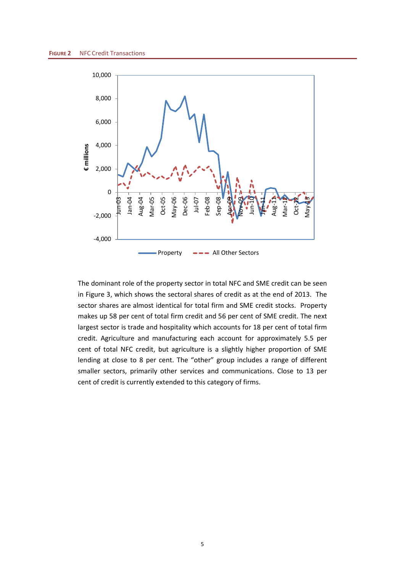

The dominant role of the property sector in total NFC and SME credit can be seen in Figure 3, which shows the sectoral shares of credit as at the end of 2013. The sector shares are almost identical for total firm and SME credit stocks. Property makes up 58 per cent of total firm credit and 56 per cent of SME credit. The next largest sector is trade and hospitality which accounts for 18 per cent of total firm credit. Agriculture and manufacturing each account for approximately 5.5 per cent of total NFC credit, but agriculture is a slightly higher proportion of SME lending at close to 8 per cent. The "other" group includes a range of different smaller sectors, primarily other services and communications. Close to 13 per cent of credit is currently extended to this category of firms.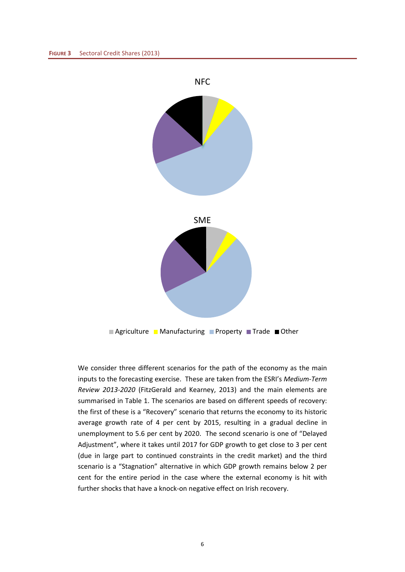

■ Agriculture ■ Manufacturing ■ Property ■ Trade ■ Other

We consider three different scenarios for the path of the economy as the main inputs to the forecasting exercise. These are taken from the ESRI's *Medium-Term Review 2013-2020* (FitzGerald and Kearney, 2013) and the main elements are summarised in Table 1. The scenarios are based on different speeds of recovery: the first of these is a "Recovery" scenario that returns the economy to its historic average growth rate of 4 per cent by 2015, resulting in a gradual decline in unemployment to 5.6 per cent by 2020. The second scenario is one of "Delayed Adjustment", where it takes until 2017 for GDP growth to get close to 3 per cent (due in large part to continued constraints in the credit market) and the third scenario is a "Stagnation" alternative in which GDP growth remains below 2 per cent for the entire period in the case where the external economy is hit with further shocks that have a knock-on negative effect on Irish recovery.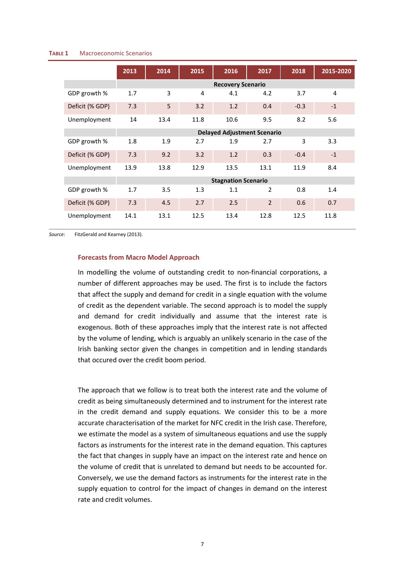#### **TABLE 1** Macroeconomic Scenarios

|                 | 2013 | 2014 | 2015 | 2016                               | 2017           | 2018   | 2015-2020 |
|-----------------|------|------|------|------------------------------------|----------------|--------|-----------|
|                 |      |      |      | <b>Recovery Scenario</b>           |                |        |           |
| GDP growth %    | 1.7  | 3    | 4    | 4.1                                | 4.2            | 3.7    | 4         |
| Deficit (% GDP) | 7.3  | 5    | 3.2  | 1.2                                | 0.4            | $-0.3$ | $-1$      |
| Unemployment    | 14   | 13.4 | 11.8 | 10.6                               | 9.5            | 8.2    | 5.6       |
|                 |      |      |      | <b>Delayed Adjustment Scenario</b> |                |        |           |
| GDP growth %    | 1.8  | 1.9  | 2.7  | 1.9                                | 2.7            | 3      | 3.3       |
| Deficit (% GDP) | 7.3  | 9.2  | 3.2  | 1.2                                | 0.3            | $-0.4$ | $-1$      |
| Unemployment    | 13.9 | 13.8 | 12.9 | 13.5                               | 13.1           | 11.9   | 8.4       |
|                 |      |      |      | <b>Stagnation Scenario</b>         |                |        |           |
| GDP growth %    | 1.7  | 3.5  | 1.3  | 1.1                                | $\overline{2}$ | 0.8    | 1.4       |
| Deficit (% GDP) | 7.3  | 4.5  | 2.7  | 2.5                                | $\overline{2}$ | 0.6    | 0.7       |
| Unemployment    | 14.1 | 13.1 | 12.5 | 13.4                               | 12.8           | 12.5   | 11.8      |

*Source*: FitzGerald and Kearney (2013).

#### **Forecasts from Macro Model Approach**

In modelling the volume of outstanding credit to non-financial corporations, a number of different approaches may be used. The first is to include the factors that affect the supply and demand for credit in a single equation with the volume of credit as the dependent variable. The second approach is to model the supply and demand for credit individually and assume that the interest rate is exogenous. Both of these approaches imply that the interest rate is not affected by the volume of lending, which is arguably an unlikely scenario in the case of the Irish banking sector given the changes in competition and in lending standards that occured over the credit boom period.

The approach that we follow is to treat both the interest rate and the volume of credit as being simultaneously determined and to instrument for the interest rate in the credit demand and supply equations. We consider this to be a more accurate characterisation of the market for NFC credit in the Irish case. Therefore, we estimate the model as a system of simultaneous equations and use the supply factors as instruments for the interest rate in the demand equation. This captures the fact that changes in supply have an impact on the interest rate and hence on the volume of credit that is unrelated to demand but needs to be accounted for. Conversely, we use the demand factors as instruments for the interest rate in the supply equation to control for the impact of changes in demand on the interest rate and credit volumes.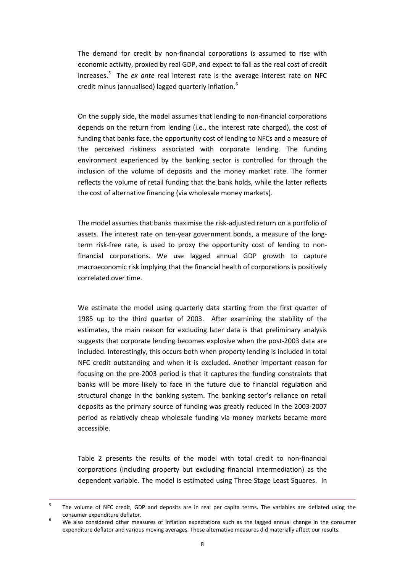The demand for credit by non-financial corporations is assumed to rise with economic activity, proxied by real GDP, and expect to fall as the real cost of credit increases. [5](#page-9-0) The *ex ante* real interest rate is the average interest rate on NFC credit minus (annualised) lagged quarterly inflation.[6](#page-9-1)

On the supply side, the model assumes that lending to non-financial corporations depends on the return from lending (i.e., the interest rate charged), the cost of funding that banks face, the opportunity cost of lending to NFCs and a measure of the perceived riskiness associated with corporate lending. The funding environment experienced by the banking sector is controlled for through the inclusion of the volume of deposits and the money market rate. The former reflects the volume of retail funding that the bank holds, while the latter reflects the cost of alternative financing (via wholesale money markets).

The model assumes that banks maximise the risk-adjusted return on a portfolio of assets. The interest rate on ten-year government bonds, a measure of the longterm risk-free rate, is used to proxy the opportunity cost of lending to nonfinancial corporations. We use lagged annual GDP growth to capture macroeconomic risk implying that the financial health of corporations is positively correlated over time.

We estimate the model using quarterly data starting from the first quarter of 1985 up to the third quarter of 2003. After examining the stability of the estimates, the main reason for excluding later data is that preliminary analysis suggests that corporate lending becomes explosive when the post-2003 data are included. Interestingly, this occurs both when property lending is included in total NFC credit outstanding and when it is excluded. Another important reason for focusing on the pre-2003 period is that it captures the funding constraints that banks will be more likely to face in the future due to financial regulation and structural change in the banking system. The banking sector's reliance on retail deposits as the primary source of funding was greatly reduced in the 2003-2007 period as relatively cheap wholesale funding via money markets became more accessible.

Table 2 presents the results of the model with total credit to non-financial corporations (including property but excluding financial intermediation) as the dependent variable. The model is estimated using Three Stage Least Squares. In

<span id="page-9-0"></span><sup>&</sup>lt;sup>5</sup> The volume of NFC credit, GDP and deposits are in real per capita terms. The variables are deflated using the consumer expenditure deflator. <sup>6</sup> We also considered other measures of inflation expectations such as the lagged annual change in the consumer

<span id="page-9-1"></span>expenditure deflator and various moving averages. These alternative measures did materially affect our results.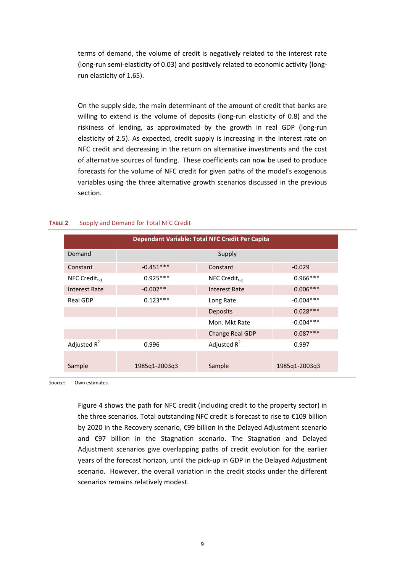terms of demand, the volume of credit is negatively related to the interest rate (long-run semi-elasticity of 0.03) and positively related to economic activity (longrun elasticity of 1.65).

On the supply side, the main determinant of the amount of credit that banks are willing to extend is the volume of deposits (long-run elasticity of 0.8) and the riskiness of lending, as approximated by the growth in real GDP (long-run elasticity of 2.5). As expected, credit supply is increasing in the interest rate on NFC credit and decreasing in the return on alternative investments and the cost of alternative sources of funding. These coefficients can now be used to produce forecasts for the volume of NFC credit for given paths of the model's exogenous variables using the three alternative growth scenarios discussed in the previous section.

| Dependant Variable: Total NFC Credit Per Capita |                         |                      |               |  |
|-------------------------------------------------|-------------------------|----------------------|---------------|--|
| Demand                                          | Supply                  |                      |               |  |
| Constant                                        | $-0.451***$             | $-0.029$             |               |  |
| NFC Credit $_{t-1}$                             | $0.925***$              | NFC Credit $_{t-1}$  |               |  |
| <b>Interest Rate</b>                            | $-0.002**$              | <b>Interest Rate</b> | $0.006***$    |  |
| Real GDP                                        | $0.123***$<br>Long Rate |                      | $-0.004***$   |  |
|                                                 |                         | <b>Deposits</b>      | $0.028***$    |  |
|                                                 |                         | Mon. Mkt Rate        | $-0.004***$   |  |
|                                                 |                         | Change Real GDP      | $0.087***$    |  |
| Adjusted $R^2$                                  | 0.996                   | Adjusted $R^2$       | 0.997         |  |
|                                                 |                         |                      |               |  |
| Sample                                          | 1985q1-2003q3           | Sample               | 1985q1-2003q3 |  |

#### **TABLE 2** Supply and Demand for Total NFC Credit

*Source*: Own estimates.

Figure 4 shows the path for NFC credit (including credit to the property sector) in the three scenarios. Total outstanding NFC credit is forecast to rise to €109 billion by 2020 in the Recovery scenario, €99 billion in the Delayed Adjustment scenario and €97 billion in the Stagnation scenario. The Stagnation and Delayed Adjustment scenarios give overlapping paths of credit evolution for the earlier years of the forecast horizon, until the pick-up in GDP in the Delayed Adjustment scenario. However, the overall variation in the credit stocks under the different scenarios remains relatively modest.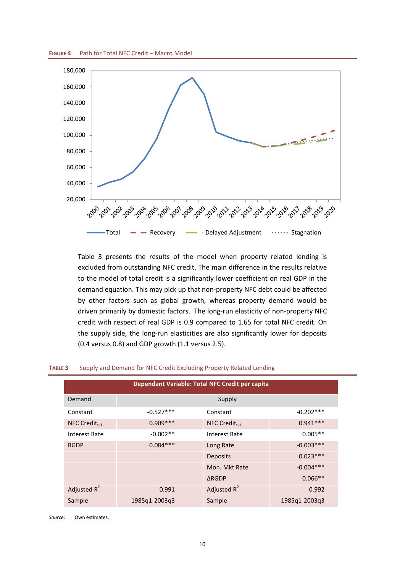



Table 3 presents the results of the model when property related lending is excluded from outstanding NFC credit. The main difference in the results relative to the model of total credit is a significantly lower coefficient on real GDP in the demand equation. This may pick up that non-property NFC debt could be affected by other factors such as global growth, whereas property demand would be driven primarily by domestic factors. The long-run elasticity of non-property NFC credit with respect of real GDP is 0.9 compared to 1.65 for total NFC credit. On the supply side, the long-run elasticities are also significantly lower for deposits (0.4 versus 0.8) and GDP growth (1.1 versus 2.5).

| Dependant Variable: Total NFC Credit per capita |               |                     |               |  |
|-------------------------------------------------|---------------|---------------------|---------------|--|
| Demand                                          | Supply        |                     |               |  |
| Constant                                        | $-0.527***$   | $-0.202***$         |               |  |
| NFC Credit $_{t-1}$                             | $0.909***$    | NFC Credit $_{t-1}$ | $0.941***$    |  |
| Interest Rate                                   | $-0.002**$    | Interest Rate       | $0.005**$     |  |
| <b>RGDP</b>                                     | $0.084***$    | Long Rate           | $-0.003***$   |  |
|                                                 |               | <b>Deposits</b>     | $0.023***$    |  |
|                                                 |               | Mon. Mkt Rate       | $-0.004***$   |  |
|                                                 |               | <b>ARGDP</b>        | $0.066**$     |  |
| Adjusted $R^2$                                  | 0.991         | Adjusted $R^2$      | 0.992         |  |
| Sample                                          | 1985q1-2003q3 | Sample              | 1985q1-2003q3 |  |

#### **TABLE 3** Supply and Demand for NFC Credit Excluding Property Related Lending

*Source*: Own estimates.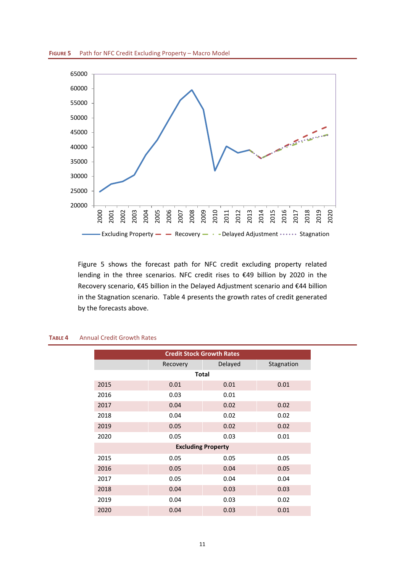



Figure 5 shows the forecast path for NFC credit excluding property related lending in the three scenarios. NFC credit rises to €49 billion by 2020 in the Recovery scenario, €45 billion in the Delayed Adjustment scenario and €44 billion in the Stagnation scenario. Table 4 presents the growth rates of credit generated by the forecasts above.

| <b>Credit Stock Growth Rates</b> |          |                           |            |  |  |  |
|----------------------------------|----------|---------------------------|------------|--|--|--|
|                                  | Recovery | Delayed                   | Stagnation |  |  |  |
|                                  |          | <b>Total</b>              |            |  |  |  |
| 2015                             | 0.01     | 0.01                      | 0.01       |  |  |  |
| 2016                             | 0.03     | 0.01                      |            |  |  |  |
| 2017                             | 0.04     | 0.02                      | 0.02       |  |  |  |
| 2018                             | 0.04     | 0.02                      | 0.02       |  |  |  |
| 2019                             | 0.05     | 0.02                      | 0.02       |  |  |  |
| 2020                             | 0.05     | 0.03                      | 0.01       |  |  |  |
|                                  |          | <b>Excluding Property</b> |            |  |  |  |
| 2015                             | 0.05     | 0.05                      | 0.05       |  |  |  |
| 2016                             | 0.05     | 0.04                      | 0.05       |  |  |  |
| 2017                             | 0.05     | 0.04                      | 0.04       |  |  |  |
| 2018                             | 0.04     | 0.03                      | 0.03       |  |  |  |
| 2019                             | 0.04     | 0.03                      | 0.02       |  |  |  |
| 2020                             | 0.04     | 0.03                      | 0.01       |  |  |  |

#### **TABLE 4** Annual Credit Growth Rates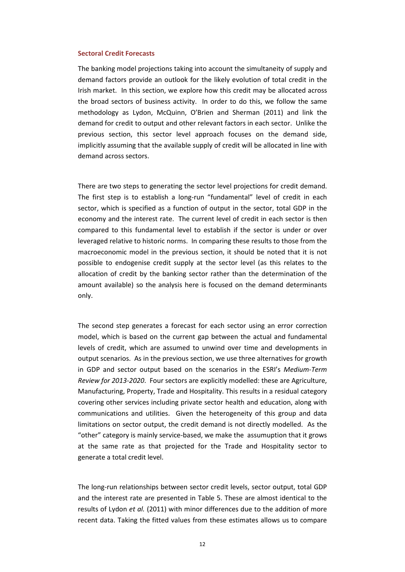#### **Sectoral Credit Forecasts**

The banking model projections taking into account the simultaneity of supply and demand factors provide an outlook for the likely evolution of total credit in the Irish market. In this section, we explore how this credit may be allocated across the broad sectors of business activity. In order to do this, we follow the same methodology as Lydon, McQuinn, O'Brien and Sherman (2011) and link the demand for credit to output and other relevant factors in each sector. Unlike the previous section, this sector level approach focuses on the demand side, implicitly assuming that the available supply of credit will be allocated in line with demand across sectors.

There are two steps to generating the sector level projections for credit demand. The first step is to establish a long-run "fundamental" level of credit in each sector, which is specified as a function of output in the sector, total GDP in the economy and the interest rate. The current level of credit in each sector is then compared to this fundamental level to establish if the sector is under or over leveraged relative to historic norms. In comparing these results to those from the macroeconomic model in the previous section, it should be noted that it is not possible to endogenise credit supply at the sector level (as this relates to the allocation of credit by the banking sector rather than the determination of the amount available) so the analysis here is focused on the demand determinants only.

The second step generates a forecast for each sector using an error correction model, which is based on the current gap between the actual and fundamental levels of credit, which are assumed to unwind over time and developments in output scenarios. As in the previous section, we use three alternatives for growth in GDP and sector output based on the scenarios in the ESRI's *Medium-Term Review for 2013-2020*. Four sectors are explicitly modelled: these are Agriculture, Manufacturing, Property, Trade and Hospitality. This results in a residual category covering other services including private sector health and education, along with communications and utilities. Given the heterogeneity of this group and data limitations on sector output, the credit demand is not directly modelled. As the "other" category is mainly service-based, we make the assumuption that it grows at the same rate as that projected for the Trade and Hospitality sector to generate a total credit level.

The long-run relationships between sector credit levels, sector output, total GDP and the interest rate are presented in Table 5. These are almost identical to the results of Lydon *et al.* (2011) with minor differences due to the addition of more recent data. Taking the fitted values from these estimates allows us to compare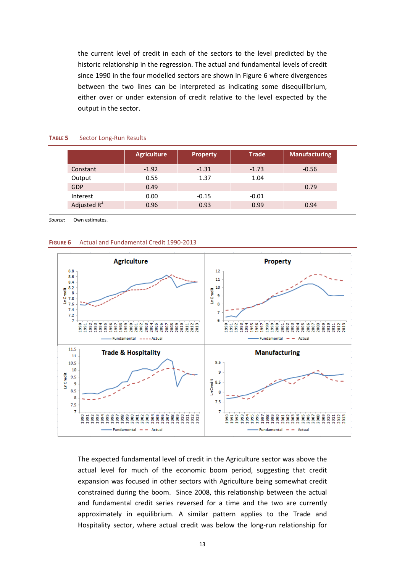the current level of credit in each of the sectors to the level predicted by the historic relationship in the regression. The actual and fundamental levels of credit since 1990 in the four modelled sectors are shown in Figure 6 where divergences between the two lines can be interpreted as indicating some disequilibrium, either over or under extension of credit relative to the level expected by the output in the sector.

|                | <b>Agriculture</b> | <b>Property</b> | <b>Trade</b> | <b>Manufacturing</b> |
|----------------|--------------------|-----------------|--------------|----------------------|
| Constant       | $-1.92$            | $-1.31$         | $-1.73$      | $-0.56$              |
| Output         | 0.55               | 1.37            | 1.04         |                      |
| <b>GDP</b>     | 0.49               |                 |              | 0.79                 |
| Interest       | 0.00               | $-0.15$         | $-0.01$      |                      |
| Adjusted $R^2$ | 0.96               | 0.93            | 0.99         | 0.94                 |
|                |                    |                 |              |                      |

#### **TABLE 5** Sector Long-Run Results

*Source*: Own estimates.





The expected fundamental level of credit in the Agriculture sector was above the actual level for much of the economic boom period, suggesting that credit expansion was focused in other sectors with Agriculture being somewhat credit constrained during the boom. Since 2008, this relationship between the actual and fundamental credit series reversed for a time and the two are currently approximately in equilibrium. A similar pattern applies to the Trade and Hospitality sector, where actual credit was below the long-run relationship for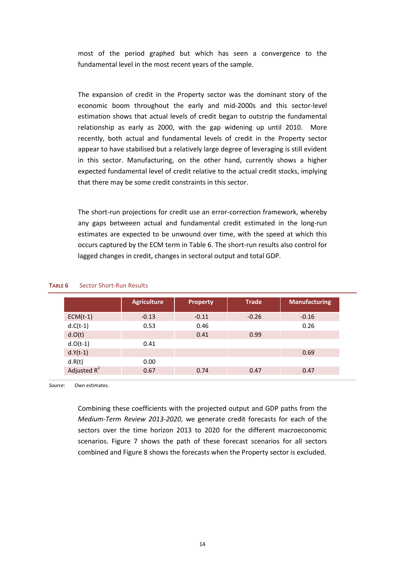most of the period graphed but which has seen a convergence to the fundamental level in the most recent years of the sample.

The expansion of credit in the Property sector was the dominant story of the economic boom throughout the early and mid-2000s and this sector-level estimation shows that actual levels of credit began to outstrip the fundamental relationship as early as 2000, with the gap widening up until 2010. More recently, both actual and fundamental levels of credit in the Property sector appear to have stabilised but a relatively large degree of leveraging is still evident in this sector. Manufacturing, on the other hand, currently shows a higher expected fundamental level of credit relative to the actual credit stocks, implying that there may be some credit constraints in this sector.

The short-run projections for credit use an error-correction framework, whereby any gaps betweeen actual and fundamental credit estimated in the long-run estimates are expected to be unwound over time, with the speed at which this occurs captured by the ECM term in Table 6. The short-run results also control for lagged changes in credit, changes in sectoral output and total GDP.

|                | <b>Agriculture</b> | <b>Property</b> | <b>Trade</b> | <b>Manufacturing</b> |
|----------------|--------------------|-----------------|--------------|----------------------|
| $ECM(t-1)$     | $-0.13$            | $-0.11$         | $-0.26$      | $-0.16$              |
| $d.C(t-1)$     | 0.53               | 0.46            |              | 0.26                 |
| d.O(t)         |                    | 0.41            | 0.99         |                      |
| $d.O(t-1)$     | 0.41               |                 |              |                      |
| $d.Y(t-1)$     |                    |                 |              | 0.69                 |
| d.R(t)         | 0.00               |                 |              |                      |
| Adjusted $R^2$ | 0.67               | 0.74            | 0.47         | 0.47                 |

#### **TABLE 6** Sector Short-Run Results

*Source*: Own estimates.

Combining these coefficients with the projected output and GDP paths from the *Medium-Term Review 2013-2020*, we generate credit forecasts for each of the sectors over the time horizon 2013 to 2020 for the different macroeconomic scenarios. Figure 7 shows the path of these forecast scenarios for all sectors combined and Figure 8 shows the forecasts when the Property sector is excluded.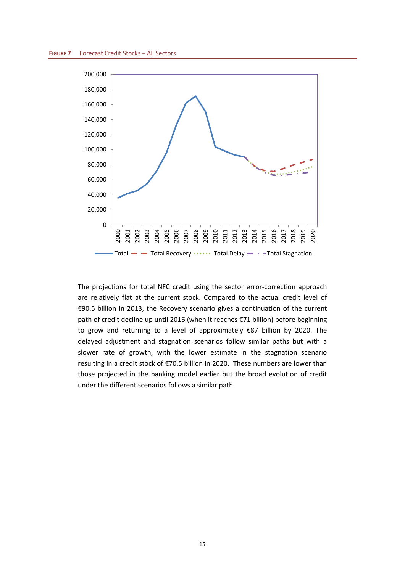

The projections for total NFC credit using the sector error-correction approach are relatively flat at the current stock. Compared to the actual credit level of €90.5 billion in 2013, the Recovery scenario gives a continuation of the current path of credit decline up until 2016 (when it reaches €71 billion) before beginning to grow and returning to a level of approximately €87 billion by 2020. The delayed adjustment and stagnation scenarios follow similar paths but with a slower rate of growth, with the lower estimate in the stagnation scenario resulting in a credit stock of €70.5 billion in 2020. These numbers are lower than those projected in the banking model earlier but the broad evolution of credit under the different scenarios follows a similar path.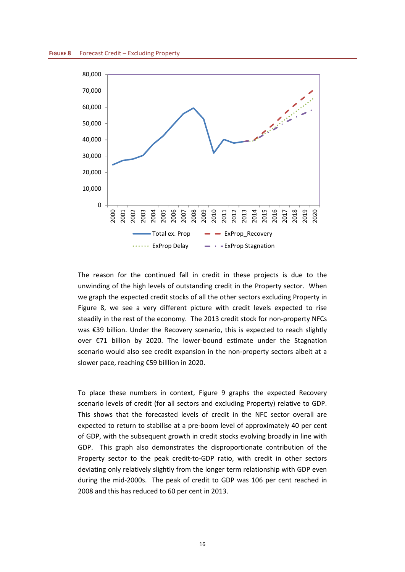

The reason for the continued fall in credit in these projects is due to the unwinding of the high levels of outstanding credit in the Property sector. When we graph the expected credit stocks of all the other sectors excluding Property in Figure 8, we see a very different picture with credit levels expected to rise steadily in the rest of the economy. The 2013 credit stock for non-property NFCs was €39 billion. Under the Recovery scenario, this is expected to reach slightly over €71 billion by 2020. The lower-bound estimate under the Stagnation scenario would also see credit expansion in the non-property sectors albeit at a slower pace, reaching €59 billlion in 2020.

To place these numbers in context, Figure 9 graphs the expected Recovery scenario levels of credit (for all sectors and excluding Property) relative to GDP. This shows that the forecasted levels of credit in the NFC sector overall are expected to return to stabilise at a pre-boom level of approximately 40 per cent of GDP, with the subsequent growth in credit stocks evolving broadly in line with GDP. This graph also demonstrates the disproportionate contribution of the Property sector to the peak credit-to-GDP ratio, with credit in other sectors deviating only relatively slightly from the longer term relationship with GDP even during the mid-2000s. The peak of credit to GDP was 106 per cent reached in 2008 and this has reduced to 60 per cent in 2013.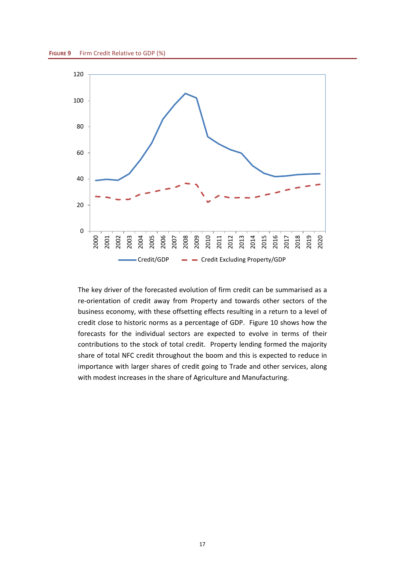

The key driver of the forecasted evolution of firm credit can be summarised as a re-orientation of credit away from Property and towards other sectors of the business economy, with these offsetting effects resulting in a return to a level of credit close to historic norms as a percentage of GDP. Figure 10 shows how the forecasts for the individual sectors are expected to evolve in terms of their contributions to the stock of total credit. Property lending formed the majority share of total NFC credit throughout the boom and this is expected to reduce in importance with larger shares of credit going to Trade and other services, along with modest increases in the share of Agriculture and Manufacturing.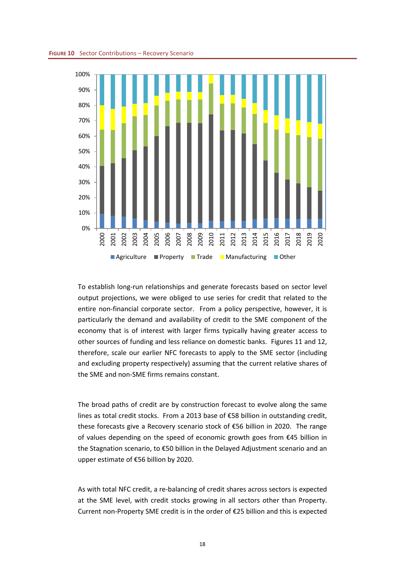

To establish long-run relationships and generate forecasts based on sector level output projections, we were obliged to use series for credit that related to the entire non-financial corporate sector. From a policy perspective, however, it is particularly the demand and availability of credit to the SME component of the economy that is of interest with larger firms typically having greater access to other sources of funding and less reliance on domestic banks. Figures 11 and 12, therefore, scale our earlier NFC forecasts to apply to the SME sector (including and excluding property respectively) assuming that the current relative shares of the SME and non-SME firms remains constant.

The broad paths of credit are by construction forecast to evolve along the same lines as total credit stocks. From a 2013 base of €58 billion in outstanding credit, these forecasts give a Recovery scenario stock of €56 billion in 2020. The range of values depending on the speed of economic growth goes from €45 billion in the Stagnation scenario, to €50 billion in the Delayed Adjustment scenario and an upper estimate of €56 billion by 2020.

As with total NFC credit, a re-balancing of credit shares across sectors is expected at the SME level, with credit stocks growing in all sectors other than Property. Current non-Property SME credit is in the order of €25 billion and this is expected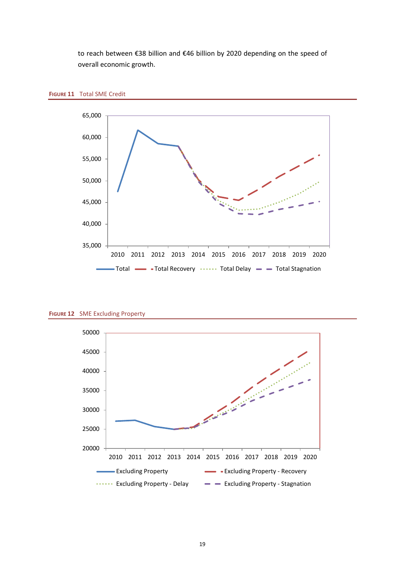to reach between €38 billion and €46 billion by 2020 depending on the speed of overall economic growth.





**FIGURE 12** SME Excluding Property

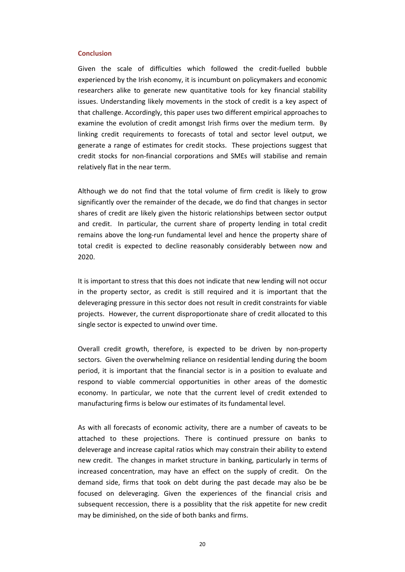#### **Conclusion**

Given the scale of difficulties which followed the credit-fuelled bubble experienced by the Irish economy, it is incumbunt on policymakers and economic researchers alike to generate new quantitative tools for key financial stability issues. Understanding likely movements in the stock of credit is a key aspect of that challenge. Accordingly, this paper uses two different empirical approaches to examine the evolution of credit amongst Irish firms over the medium term. By linking credit requirements to forecasts of total and sector level output, we generate a range of estimates for credit stocks. These projections suggest that credit stocks for non-financial corporations and SMEs will stabilise and remain relatively flat in the near term.

Although we do not find that the total volume of firm credit is likely to grow significantly over the remainder of the decade, we do find that changes in sector shares of credit are likely given the historic relationships between sector output and credit. In particular, the current share of property lending in total credit remains above the long-run fundamental level and hence the property share of total credit is expected to decline reasonably considerably between now and 2020.

It is important to stress that this does not indicate that new lending will not occur in the property sector, as credit is still required and it is important that the deleveraging pressure in this sector does not result in credit constraints for viable projects. However, the current disproportionate share of credit allocated to this single sector is expected to unwind over time.

Overall credit growth, therefore, is expected to be driven by non-property sectors. Given the overwhelming reliance on residential lending during the boom period, it is important that the financial sector is in a position to evaluate and respond to viable commercial opportunities in other areas of the domestic economy. In particular, we note that the current level of credit extended to manufacturing firms is below our estimates of its fundamental level.

As with all forecasts of economic activity, there are a number of caveats to be attached to these projections. There is continued pressure on banks to deleverage and increase capital ratios which may constrain their ability to extend new credit. The changes in market structure in banking, particularly in terms of increased concentration, may have an effect on the supply of credit. On the demand side, firms that took on debt during the past decade may also be be focused on deleveraging. Given the experiences of the financial crisis and subsequent reccession, there is a possiblity that the risk appetite for new credit may be diminished, on the side of both banks and firms.